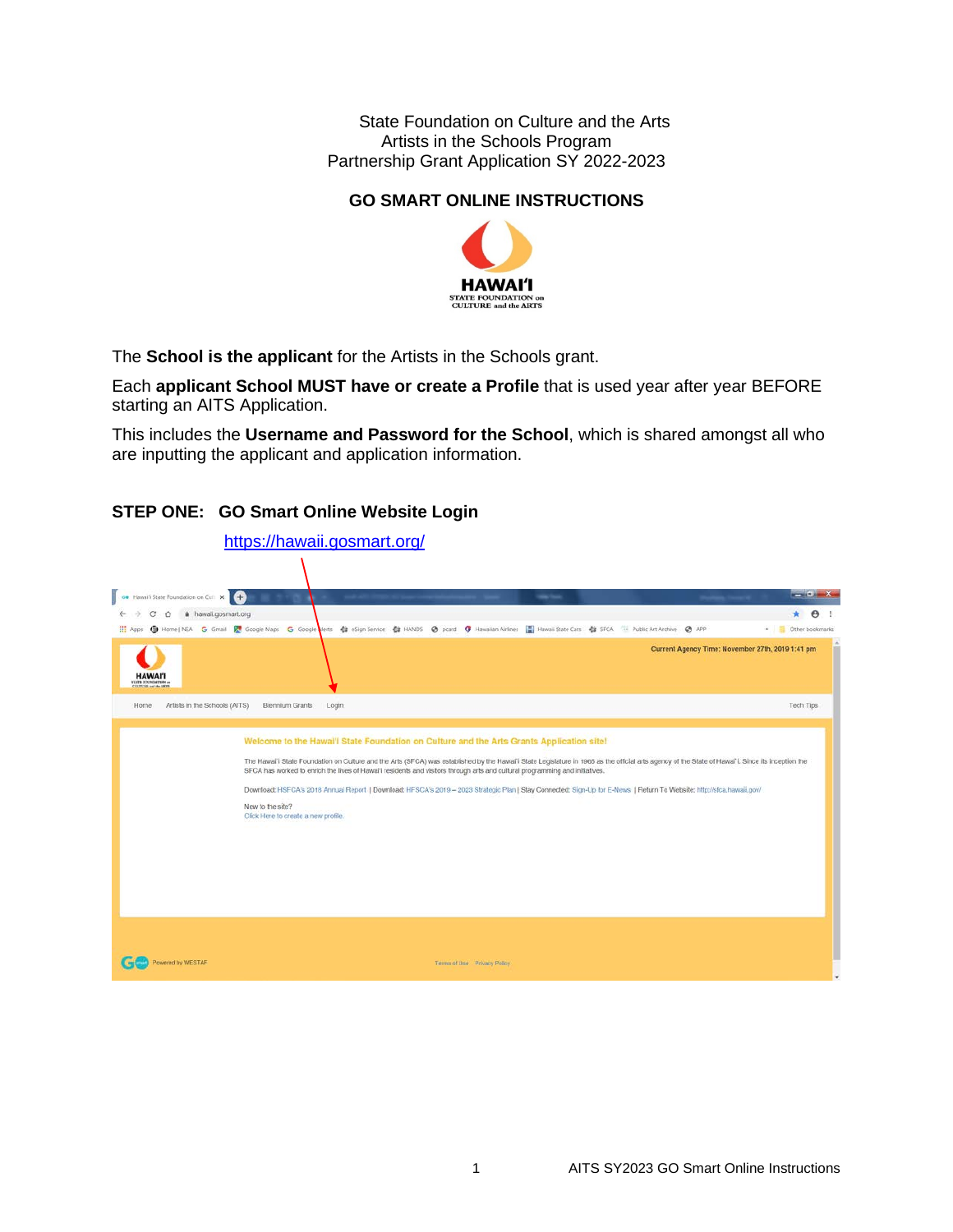State Foundation on Culture and the Arts Artists in the Schools Program Partnership Grant Application SY 2022-2023

# **GO SMART ONLINE INSTRUCTIONS**



The **School is the applicant** for the Artists in the Schools grant.

Each **applicant School MUST have or create a Profile** that is used year after year BEFORE starting an AITS Application.

This includes the **Username and Password for the School**, which is shared amongst all who are inputting the applicant and application information.

### **STEP ONE: GO Smart Online Website Login**

|                                               | https://hawaii.gosmart.org/                             |                                                                                                                                                                                                                                                                                                                                                                                                                                                                                                            |                                                  |                               |
|-----------------------------------------------|---------------------------------------------------------|------------------------------------------------------------------------------------------------------------------------------------------------------------------------------------------------------------------------------------------------------------------------------------------------------------------------------------------------------------------------------------------------------------------------------------------------------------------------------------------------------------|--------------------------------------------------|-------------------------------|
|                                               |                                                         |                                                                                                                                                                                                                                                                                                                                                                                                                                                                                                            |                                                  |                               |
| <b>CO</b> Hawaii State Foundation on Cull X + |                                                         | <b>High Court</b>                                                                                                                                                                                                                                                                                                                                                                                                                                                                                          |                                                  | $-10x - x$                    |
| hawaii.gosmart.org<br>е<br>$\circ$            |                                                         |                                                                                                                                                                                                                                                                                                                                                                                                                                                                                                            |                                                  | e                             |
|                                               |                                                         |                                                                                                                                                                                                                                                                                                                                                                                                                                                                                                            |                                                  | <sup>86</sup> Other bookmarks |
| <b>HAWAI'I</b><br>VIATE FOUNDATION            |                                                         |                                                                                                                                                                                                                                                                                                                                                                                                                                                                                                            | Current Agency Time: November 27th, 2019 1:41 pm |                               |
| Artists in the Schools (AITS)<br>Home.        | Biennium Grants<br>Login                                |                                                                                                                                                                                                                                                                                                                                                                                                                                                                                                            |                                                  | Tech Tips                     |
|                                               | New to the site?<br>Click Here to create a new profile. | The Hawai'i State Foundation on Culture and the Arts (SFCA) was established by the Hawai'i State Legislature in 1965 as the official arts agency of the State of Hawai'i. Since its inception the<br>SFCA has worked to enrich the lives of Hawai'i residents and visitors through arts and cultural programming and initiatives.<br>Download: HSFCA's 2018 Annual Report   Download: HFSCA's 2019 - 2023 Strategic Plan   Stay Connected: Sign-Up for E-News   Return To Website: http://sfca.hawaii.gov/ |                                                  |                               |
| owered by WESTAF                              |                                                         | Terms of Use Privacy Policy                                                                                                                                                                                                                                                                                                                                                                                                                                                                                |                                                  |                               |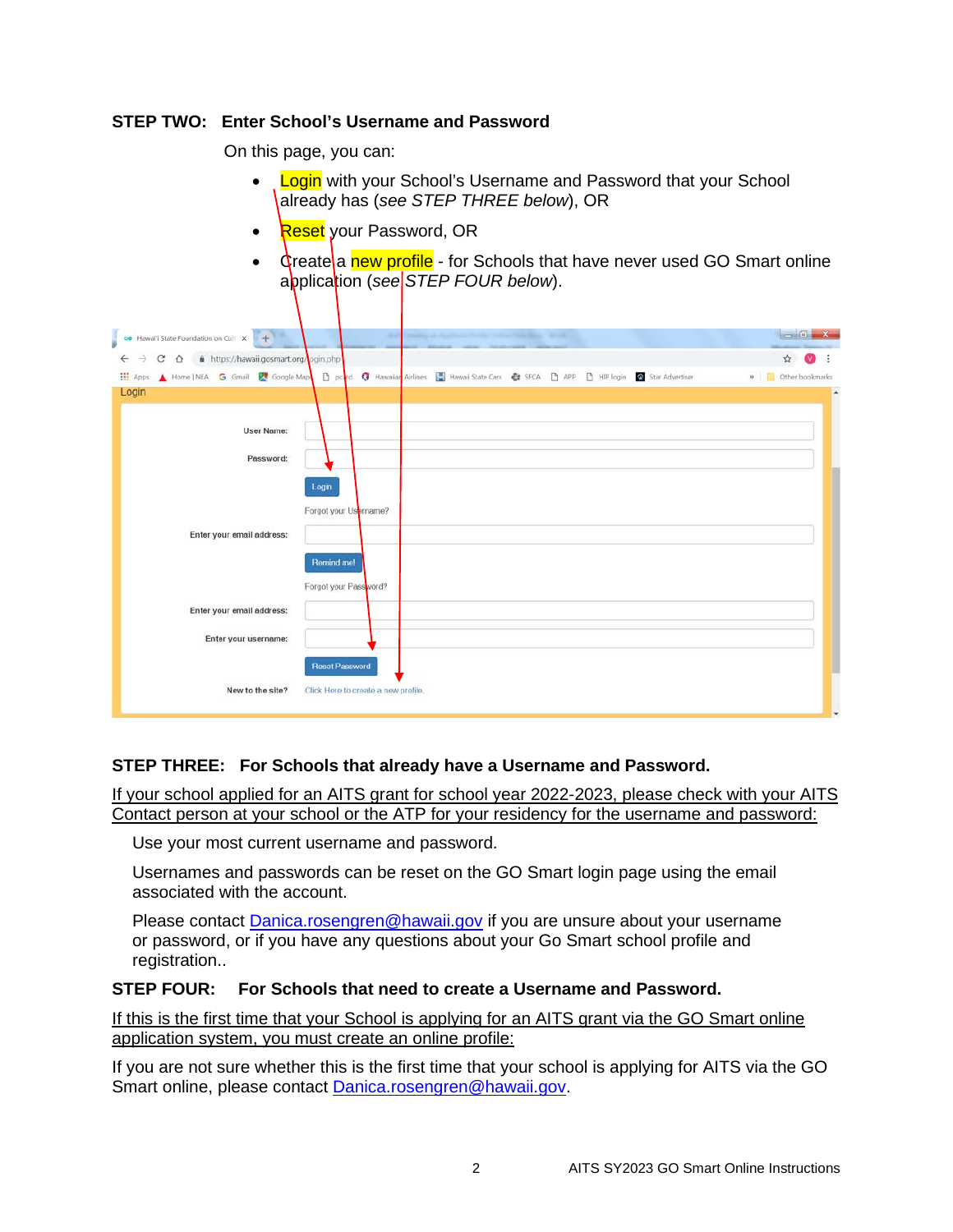### **STEP TWO: Enter School's Username and Password**

On this page, you can:

- **Login** with your School's Username and Password that your School already has (*see STEP THREE below*), OR
- Reset your Password, OR
- Greate a new profile for Schools that have never used GO Smart online application (*see STEP FOUR below*).

| Hawai'i State Foundation on Cull X +<br>GO.         | <b>Security</b>                                                                          | $\sim$<br>$\mathbf{x}$ |
|-----------------------------------------------------|------------------------------------------------------------------------------------------|------------------------|
| https://hawaii.gosmart.org/ogin.php<br>C<br>$\circ$ |                                                                                          | ☆                      |
| iii Apps<br>Home   NEA G Gmail & Google Map         | D pond O Hawaiian Airlines Hawaii State Cars Ca SFCA D APP D HIP login & Star Advertiser | » Cther bookmarks      |
| Login                                               |                                                                                          |                        |
|                                                     |                                                                                          |                        |
| <b>User Name:</b>                                   |                                                                                          |                        |
| Password:                                           |                                                                                          |                        |
|                                                     |                                                                                          |                        |
|                                                     | Login                                                                                    |                        |
|                                                     | Forgot your Usprname?                                                                    |                        |
|                                                     |                                                                                          |                        |
| Enter your email address:                           |                                                                                          |                        |
|                                                     | <b>Remind me!</b>                                                                        |                        |
|                                                     | Forgot your Password?                                                                    |                        |
|                                                     |                                                                                          |                        |
| Enter your email address:                           |                                                                                          |                        |
| Enter your username:                                |                                                                                          |                        |
|                                                     |                                                                                          |                        |
|                                                     | <b>Reset Password</b>                                                                    |                        |
| New to the site?                                    | Click Here to create a new profile.                                                      |                        |

### **STEP THREE: For Schools that already have a Username and Password.**

If your school applied for an AITS grant for school year 2022-2023, please check with your AITS Contact person at your school or the ATP for your residency for the username and password:

Use your most current username and password.

Usernames and passwords can be reset on the GO Smart login page using the email associated with the account.

Please contact **Danica.rosengren@hawaii.gov** if you are unsure about your username or password, or if you have any questions about your Go Smart school profile and registration..

### **STEP FOUR: For Schools that need to create a Username and Password.**

If this is the first time that your School is applying for an AITS grant via the GO Smart online application system, you must create an online profile:

If you are not sure whether this is the first time that your school is applying for AITS via the GO Smart online, please contact [Danica.rosengren@hawaii.gov.](mailto:Danica.rosengren@hawaii.gov)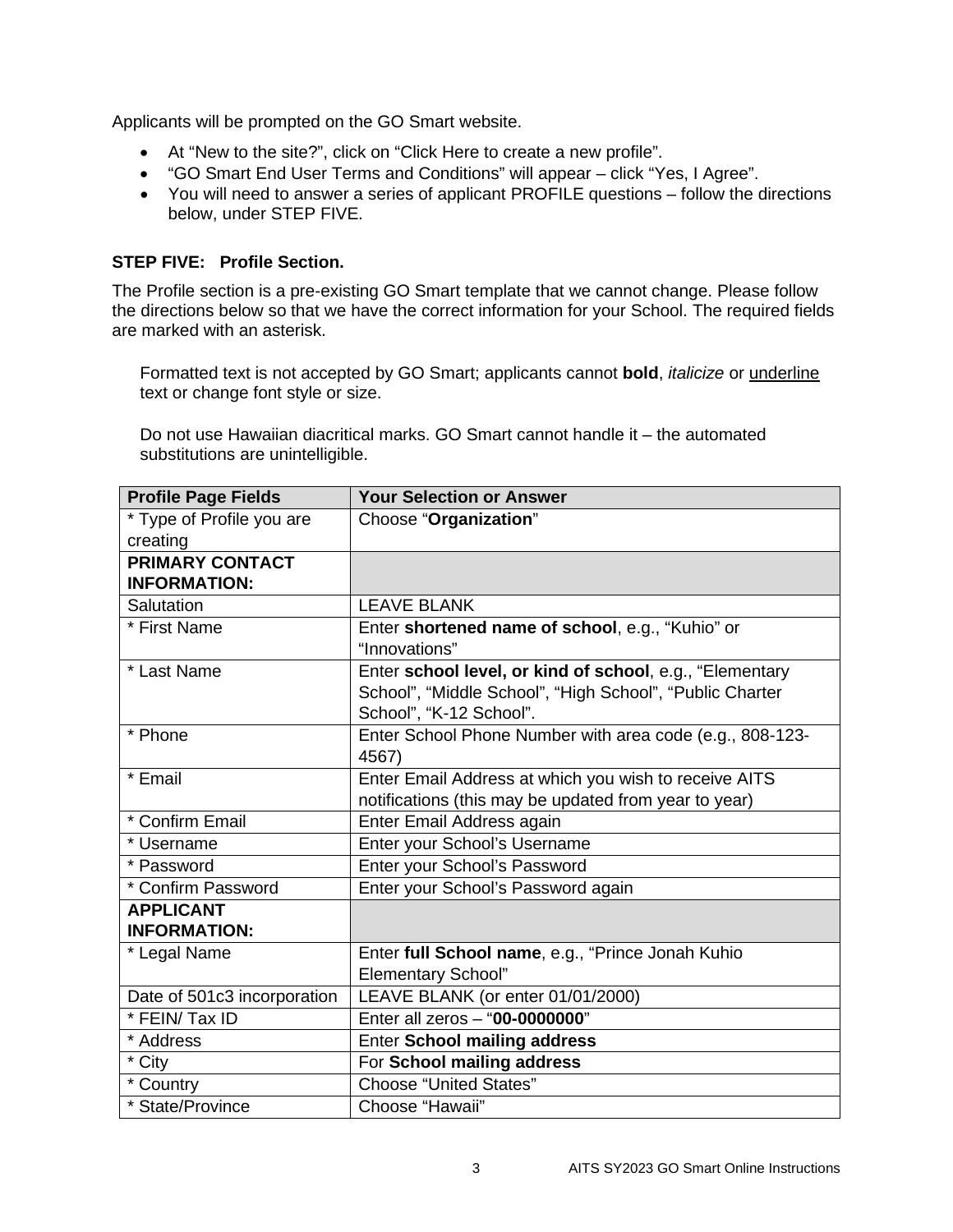Applicants will be prompted on the GO Smart website.

- At "New to the site?", click on "Click Here to create a new profile".
- "GO Smart End User Terms and Conditions" will appear click "Yes, I Agree".
- You will need to answer a series of applicant PROFILE questions follow the directions below, under STEP FIVE.

### **STEP FIVE: Profile Section.**

The Profile section is a pre-existing GO Smart template that we cannot change. Please follow the directions below so that we have the correct information for your School. The required fields are marked with an asterisk.

Formatted text is not accepted by GO Smart; applicants cannot **bold**, *italicize* or underline text or change font style or size.

Do not use Hawaiian diacritical marks. GO Smart cannot handle it – the automated substitutions are unintelligible.

| <b>Profile Page Fields</b>  | <b>Your Selection or Answer</b>                          |
|-----------------------------|----------------------------------------------------------|
| * Type of Profile you are   | Choose "Organization"                                    |
| creating                    |                                                          |
| <b>PRIMARY CONTACT</b>      |                                                          |
| <b>INFORMATION:</b>         |                                                          |
| Salutation                  | <b>LEAVE BLANK</b>                                       |
| * First Name                | Enter shortened name of school, e.g., "Kuhio" or         |
|                             | "Innovations"                                            |
| * Last Name                 | Enter school level, or kind of school, e.g., "Elementary |
|                             | School", "Middle School", "High School", "Public Charter |
|                             | School", "K-12 School".                                  |
| * Phone                     | Enter School Phone Number with area code (e.g., 808-123- |
|                             | 4567)                                                    |
| * Email                     | Enter Email Address at which you wish to receive AITS    |
|                             | notifications (this may be updated from year to year)    |
| * Confirm Email             | Enter Email Address again                                |
| * Username                  | Enter your School's Username                             |
| * Password                  | Enter your School's Password                             |
| * Confirm Password          | Enter your School's Password again                       |
| <b>APPLICANT</b>            |                                                          |
| <b>INFORMATION:</b>         |                                                          |
| * Legal Name                | Enter full School name, e.g., "Prince Jonah Kuhio        |
|                             | <b>Elementary School"</b>                                |
| Date of 501c3 incorporation | LEAVE BLANK (or enter 01/01/2000)                        |
| * FEIN/ Tax ID              | Enter all zeros - "00-0000000"                           |
| * Address                   | <b>Enter School mailing address</b>                      |
| * City                      | For School mailing address                               |
| * Country                   | <b>Choose "United States"</b>                            |
| * State/Province            | Choose "Hawaii"                                          |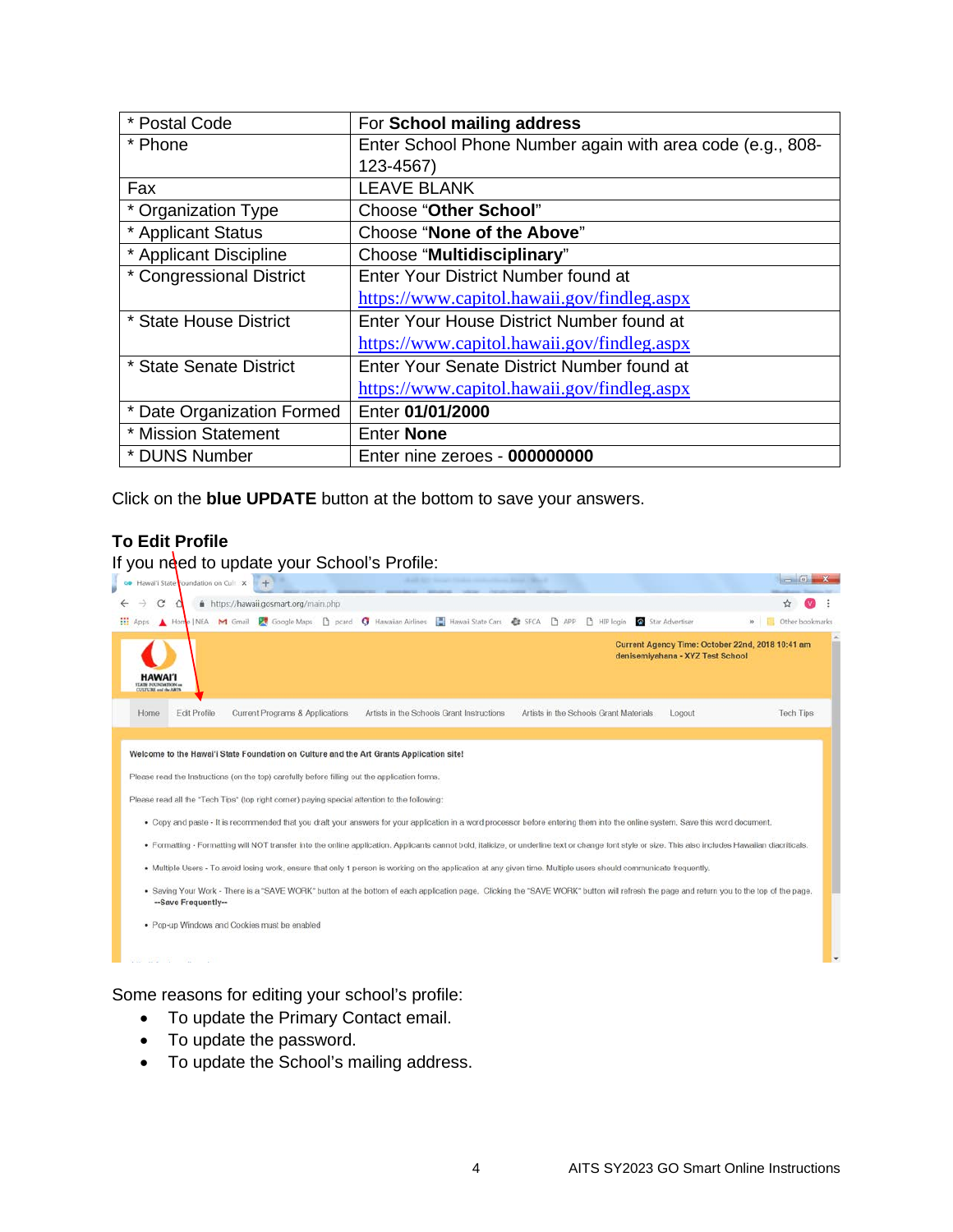| * Postal Code              | For School mailing address                                 |
|----------------------------|------------------------------------------------------------|
| * Phone                    | Enter School Phone Number again with area code (e.g., 808- |
|                            | 123-4567)                                                  |
| Fax                        | <b>LEAVE BLANK</b>                                         |
| * Organization Type        | <b>Choose "Other School"</b>                               |
| * Applicant Status         | Choose "None of the Above"                                 |
| * Applicant Discipline     | Choose "Multidisciplinary"                                 |
| * Congressional District   | Enter Your District Number found at                        |
|                            | https://www.capitol.hawaii.gov/findleg.aspx                |
| * State House District     | Enter Your House District Number found at                  |
|                            | https://www.capitol.hawaii.gov/findleg.aspx                |
| * State Senate District    | Enter Your Senate District Number found at                 |
|                            | https://www.capitol.hawaii.gov/findleg.aspx                |
| * Date Organization Formed | Enter 01/01/2000                                           |
| * Mission Statement        | <b>Enter None</b>                                          |
| * DUNS Number              | Enter nine zeroes - 000000000                              |

Click on the **blue UPDATE** button at the bottom to save your answers.

# **To Edit Profile**

If you need to update your School's Profile:

| <b>H</b> Apps<br>Home   NEA               | Google Maps<br>M Gmail          | Hawaii State Cars<br>Hawaiian Airlines<br>n.<br>Œ<br>pcard                                                                                                                                            | <b>CE SFCA</b><br>D APP | Star Advertiser<br><b>P</b> HIP login            | Other bookmarks<br>$30 -$                        |
|-------------------------------------------|---------------------------------|-------------------------------------------------------------------------------------------------------------------------------------------------------------------------------------------------------|-------------------------|--------------------------------------------------|--------------------------------------------------|
| <b>HAWAI'I</b><br><b>ELETE FOUNDATION</b> |                                 |                                                                                                                                                                                                       |                         | denisemiyahana - XYZ Test School                 | Current Agency Time: October 22nd, 2018 10:41 am |
| <b>Edit Profile</b><br>Home               | Current Programs & Applications | Artists in the Schools Grant Instructions                                                                                                                                                             |                         | Artists in the Schools Grant Materials<br>Logout | <b>Tech Tips</b>                                 |
|                                           |                                 | Welcome to the Hawai'i State Foundation on Culture and the Art Grants Application site!                                                                                                               |                         |                                                  |                                                  |
|                                           |                                 |                                                                                                                                                                                                       |                         |                                                  |                                                  |
|                                           |                                 |                                                                                                                                                                                                       |                         |                                                  |                                                  |
|                                           |                                 | Please read the Instructions (on the top) carefully before filling out the application forms.                                                                                                         |                         |                                                  |                                                  |
|                                           |                                 | Please read all the "Tech Tips" (top right corner) paying special attention to the following:                                                                                                         |                         |                                                  |                                                  |
|                                           |                                 | . Copy and paste - It is recommended that you draft your answers for your application in a word processor before entering them into the online system. Save this word document.                       |                         |                                                  |                                                  |
|                                           |                                 | · Formatting - Formatting will NOT transfer into the online application. Applicants cannot bold, italicize, or underline text or change font style or size. This also includes Hawaiian diacriticals. |                         |                                                  |                                                  |
|                                           |                                 | . Multiple Users - To avoid losing work, ensure that only 1 person is working on the application at any given time. Multiple users should communicate frequently.                                     |                         |                                                  |                                                  |
| -Save Frequently-                         |                                 | . Saving Your Work - There is a "SAVE WORK" button at the bottom of each application page. Clicking the "SAVE WORK" button will refresh the page and return you to the top of the page.               |                         |                                                  |                                                  |

Some reasons for editing your school's profile:

- To update the Primary Contact email.
- To update the password.
- To update the School's mailing address.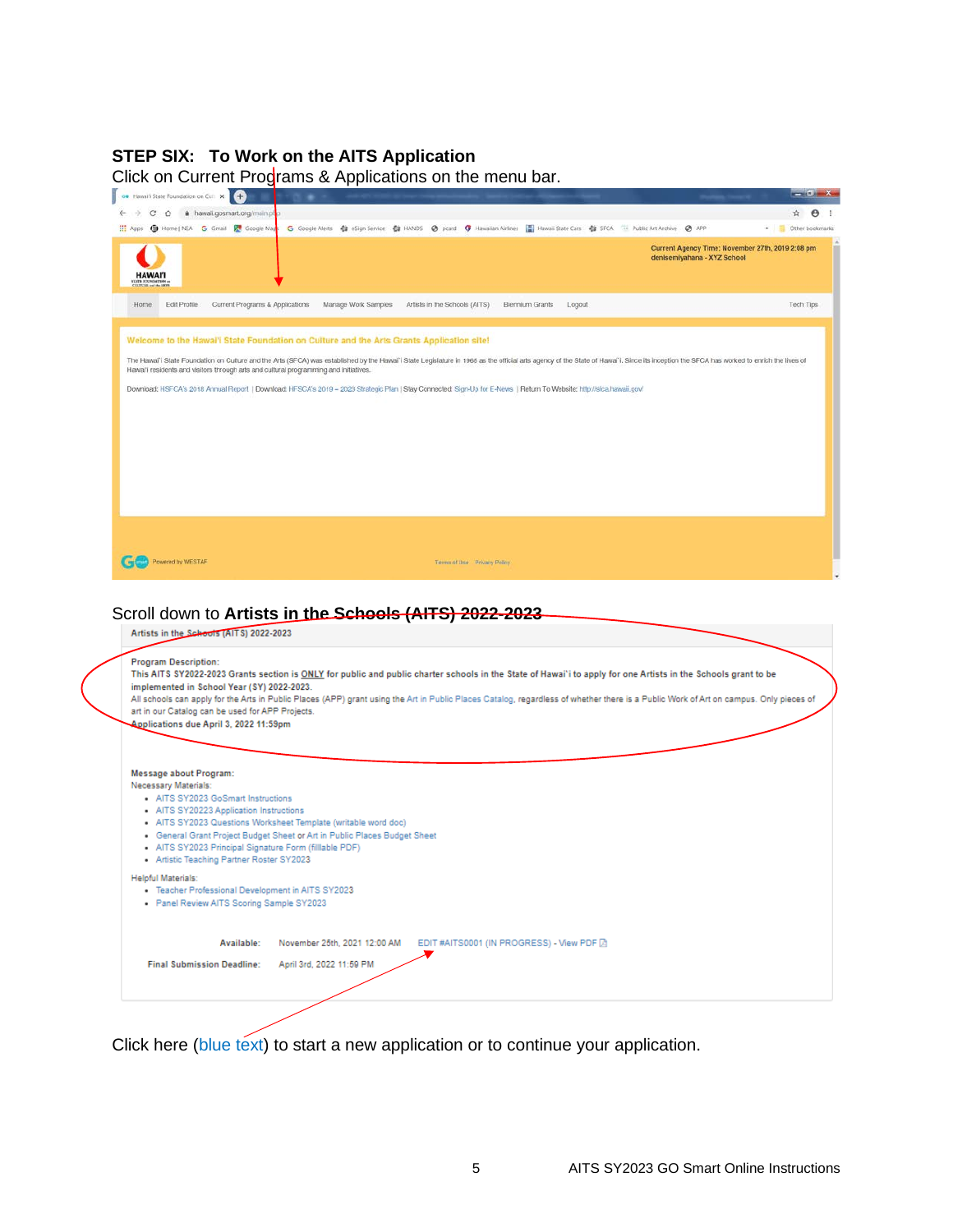# **STEP SIX: To Work on the AITS Application**

| <b>co</b> Hawaii State Foundation on Cull X +                                                  |                                                                                                                                                                                                                                |                                                                                                                 |
|------------------------------------------------------------------------------------------------|--------------------------------------------------------------------------------------------------------------------------------------------------------------------------------------------------------------------------------|-----------------------------------------------------------------------------------------------------------------|
| ← → C △ ● hawaii.gosmart.org/main.pl<br>H: Apps (D) Home   NEA G Gmail   Google Maps           | G Google Alerts Ca eSign Service Ca HANDS @ pcard (F Hawaiian Airlines   Hawaii State Cars Ca SFCA TH Public Art Archive @ APP                                                                                                 | ☆ →                                                                                                             |
| HAWAI                                                                                          |                                                                                                                                                                                                                                | <sup>8</sup> Other bookmarks<br>Current Agency Time: November 27th, 2019 2:08 pm<br>denisemiyahana - XYZ School |
| Edit Profile<br>Current Programs & Applications<br>Home:                                       | Manage Work Samples<br>Artists in the Schools (AITS)<br>Biennium Grants<br>Logout                                                                                                                                              | Tech Tips                                                                                                       |
|                                                                                                | Welcome to the Hawal'i State Foundation on Culture and the Arts Grants Application site!                                                                                                                                       |                                                                                                                 |
|                                                                                                | The Hawai'i State Foundation on Culture and the Arts (SFCA) was established by the Hawai'i State Legislature in 1965 as the official arts agency of the State of Hawai'i. Since its inception the SFCA has worked to enrich th |                                                                                                                 |
| Hawai'i residents and visitors through arts and cultural programming and initiatives.          |                                                                                                                                                                                                                                |                                                                                                                 |
|                                                                                                | Download: HSFCA's 2018 Annual Report   Download: HFSCA's 2019 - 2023 Strategic Plan   Stay Connected: Sign-Up for E-News   Return To Website: http://sfca.hawaii.gov/                                                          |                                                                                                                 |
|                                                                                                |                                                                                                                                                                                                                                |                                                                                                                 |
|                                                                                                |                                                                                                                                                                                                                                |                                                                                                                 |
|                                                                                                |                                                                                                                                                                                                                                |                                                                                                                 |
|                                                                                                |                                                                                                                                                                                                                                |                                                                                                                 |
|                                                                                                |                                                                                                                                                                                                                                |                                                                                                                 |
|                                                                                                |                                                                                                                                                                                                                                |                                                                                                                 |
|                                                                                                |                                                                                                                                                                                                                                |                                                                                                                 |
|                                                                                                |                                                                                                                                                                                                                                |                                                                                                                 |
|                                                                                                |                                                                                                                                                                                                                                |                                                                                                                 |
| Powered by WESTAF                                                                              | Terms of Use Privacy Policy                                                                                                                                                                                                    |                                                                                                                 |
|                                                                                                |                                                                                                                                                                                                                                |                                                                                                                 |
|                                                                                                |                                                                                                                                                                                                                                |                                                                                                                 |
|                                                                                                | Scroll down to Artists in the Schools (AITS) 2022-2023                                                                                                                                                                         |                                                                                                                 |
| Artists in the Schools (AITS) 2022-2023                                                        |                                                                                                                                                                                                                                |                                                                                                                 |
|                                                                                                |                                                                                                                                                                                                                                |                                                                                                                 |
| <b>Program Description:</b>                                                                    | This AITS SY2022-2023 Grants section is ONLY for public and public charter schools in the State of Hawai'i to apply for one Artists in the Schools grant to be                                                                 |                                                                                                                 |
| implemented in School Year (SY) 2022-2023.                                                     |                                                                                                                                                                                                                                |                                                                                                                 |
| art in our Catalog can be used for APP Projects.                                               | All schools can apply for the Arts in Public Places (APP) grant using the Art in Public Places Catalog, regardless of whether there is a Public Work of Art on campus. Only pieces of                                          |                                                                                                                 |
| Applications due April 3, 2022 11:59pm                                                         |                                                                                                                                                                                                                                |                                                                                                                 |
|                                                                                                |                                                                                                                                                                                                                                |                                                                                                                 |
|                                                                                                |                                                                                                                                                                                                                                |                                                                                                                 |
| Message about Program:<br>Necessary Materials:                                                 |                                                                                                                                                                                                                                |                                                                                                                 |
| • AITS SY2023 GoSmart Instructions                                                             |                                                                                                                                                                                                                                |                                                                                                                 |
| • AITS SY20223 Application Instructions                                                        |                                                                                                                                                                                                                                |                                                                                                                 |
|                                                                                                | - AITS SY2023 Questions Worksheet Template (writable word doc)                                                                                                                                                                 |                                                                                                                 |
| - AITS SY2023 Principal Signature Form (filliable PDF)                                         | General Grant Project Budget Sheet or Art in Public Places Budget Sheet                                                                                                                                                        |                                                                                                                 |
| • Artistic Teaching Partner Roster SY2023                                                      |                                                                                                                                                                                                                                |                                                                                                                 |
| <b>Helpful Materials:</b>                                                                      |                                                                                                                                                                                                                                |                                                                                                                 |
| · Teacher Professional Development in AITS SY2023<br>. Panel Review AITS Scoring Sample SY2023 |                                                                                                                                                                                                                                |                                                                                                                 |
| Available:                                                                                     | November 25th, 2021 12:00 AM<br>EDIT #AITS0001 (IN PROGRESS) - View PDF 2                                                                                                                                                      |                                                                                                                 |
|                                                                                                |                                                                                                                                                                                                                                |                                                                                                                 |
| <b>Final Submission Deadline:</b>                                                              | April 3rd, 2022 11:59 PM                                                                                                                                                                                                       |                                                                                                                 |

Click here (blue text) to start a new application or to continue your application.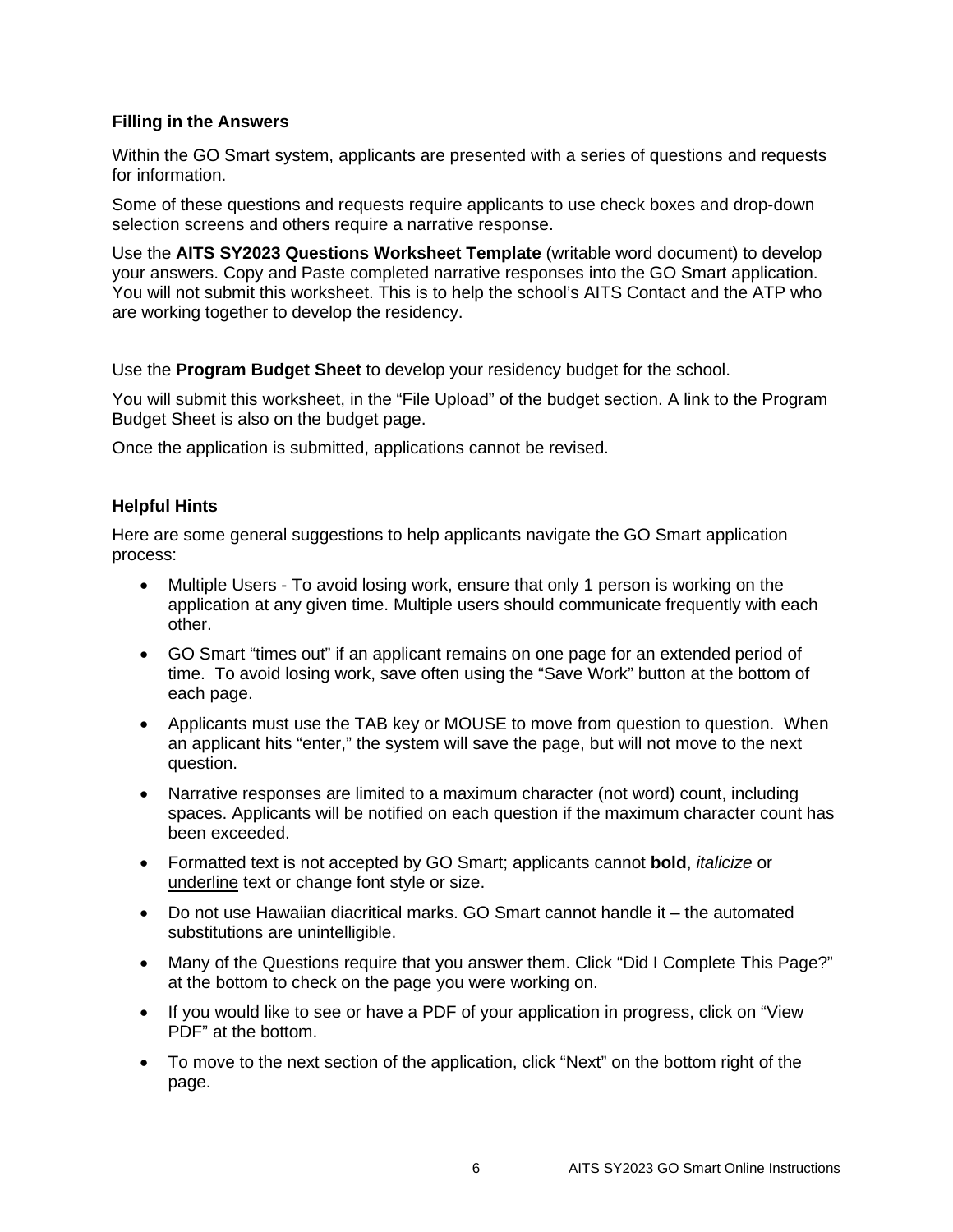### **Filling in the Answers**

Within the GO Smart system, applicants are presented with a series of questions and requests for information.

Some of these questions and requests require applicants to use check boxes and drop-down selection screens and others require a narrative response.

Use the **AITS SY2023 Questions Worksheet Template** (writable word document) to develop your answers. Copy and Paste completed narrative responses into the GO Smart application. You will not submit this worksheet. This is to help the school's AITS Contact and the ATP who are working together to develop the residency.

Use the **Program Budget Sheet** to develop your residency budget for the school.

You will submit this worksheet, in the "File Upload" of the budget section. A link to the Program Budget Sheet is also on the budget page.

Once the application is submitted, applications cannot be revised.

### **Helpful Hints**

Here are some general suggestions to help applicants navigate the GO Smart application process:

- Multiple Users To avoid losing work, ensure that only 1 person is working on the application at any given time. Multiple users should communicate frequently with each other.
- GO Smart "times out" if an applicant remains on one page for an extended period of time. To avoid losing work, save often using the "Save Work" button at the bottom of each page.
- Applicants must use the TAB key or MOUSE to move from question to question. When an applicant hits "enter," the system will save the page, but will not move to the next question.
- Narrative responses are limited to a maximum character (not word) count, including spaces. Applicants will be notified on each question if the maximum character count has been exceeded.
- Formatted text is not accepted by GO Smart; applicants cannot **bold**, *italicize* or underline text or change font style or size.
- Do not use Hawaiian diacritical marks. GO Smart cannot handle it the automated substitutions are unintelligible.
- Many of the Questions require that you answer them. Click "Did I Complete This Page?" at the bottom to check on the page you were working on.
- If you would like to see or have a PDF of your application in progress, click on "View PDF" at the bottom.
- To move to the next section of the application, click "Next" on the bottom right of the page.